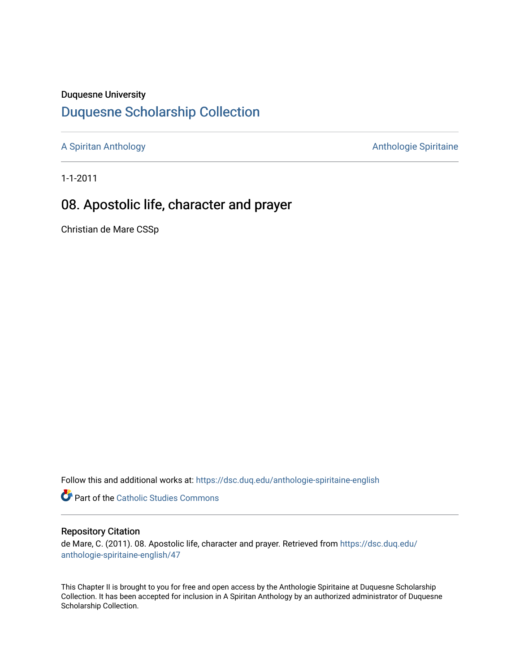#### Duquesne University

# [Duquesne Scholarship Collection](https://dsc.duq.edu/)

[A Spiritan Anthology](https://dsc.duq.edu/anthologie-spiritaine-english) **Anthology** Anthologie Spiritaine

1-1-2011

# 08. Apostolic life, character and prayer

Christian de Mare CSSp

Follow this and additional works at: [https://dsc.duq.edu/anthologie-spiritaine-english](https://dsc.duq.edu/anthologie-spiritaine-english?utm_source=dsc.duq.edu%2Fanthologie-spiritaine-english%2F47&utm_medium=PDF&utm_campaign=PDFCoverPages)

**Part of the [Catholic Studies Commons](http://network.bepress.com/hgg/discipline/1294?utm_source=dsc.duq.edu%2Fanthologie-spiritaine-english%2F47&utm_medium=PDF&utm_campaign=PDFCoverPages)** 

#### Repository Citation

de Mare, C. (2011). 08. Apostolic life, character and prayer. Retrieved from [https://dsc.duq.edu/](https://dsc.duq.edu/anthologie-spiritaine-english/47?utm_source=dsc.duq.edu%2Fanthologie-spiritaine-english%2F47&utm_medium=PDF&utm_campaign=PDFCoverPages) [anthologie-spiritaine-english/47](https://dsc.duq.edu/anthologie-spiritaine-english/47?utm_source=dsc.duq.edu%2Fanthologie-spiritaine-english%2F47&utm_medium=PDF&utm_campaign=PDFCoverPages) 

This Chapter II is brought to you for free and open access by the Anthologie Spiritaine at Duquesne Scholarship Collection. It has been accepted for inclusion in A Spiritan Anthology by an authorized administrator of Duquesne Scholarship Collection.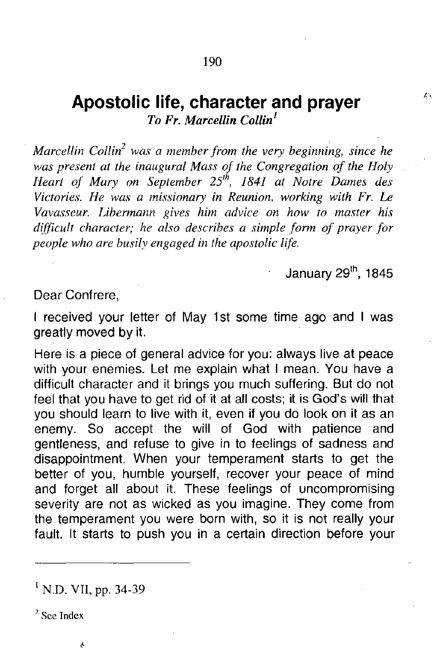### **Apostolic life, character and prayer** *To Fr. Marcellin Collin]*

*Marcellin Collin<sup>2</sup> was a member from the very beginning, since he was present at the inaugural Mass of the Congregation of the Holy Heart of Mary on September* 25''', 1841 *at Notre Dames des Victories. He was a missionary in Reunion, working with Fr. Le Vavasseur. Libermann gives him advice on how to master his difficult character; he also describes a simple form of prayer for people who are busily engaged in the apostolic life.*

January 29<sup>th</sup>, 1845

 $\mathcal{L}$  .

Dear Confrere,

I received your letter of May 1st some time ago and I was greatly moved by it.

Here is a piece of general advice for you: always live at peace with your enemies. Let me explain what I mean. You have a difficult character and it brings you much suffering. But do not feel that you have to get rid of it at all costs; it is God's will that you should learn to live with it, even if you do look on it as an enemy. So accept the will of God with patience and gentleness, and refuse to give in to feelings of sadness and disappointment. When your temperament starts to get the better of you, humble yourself, recover your peace of mind and forget all about it. These feelings of uncompromising severity are not as wicked as you imagine. They come from the temperament you were born with, so it is not really your fault. It starts to push you in a certain direction before your

<sup>1</sup> N.D. VII, pp. 34-39

7. **See Index**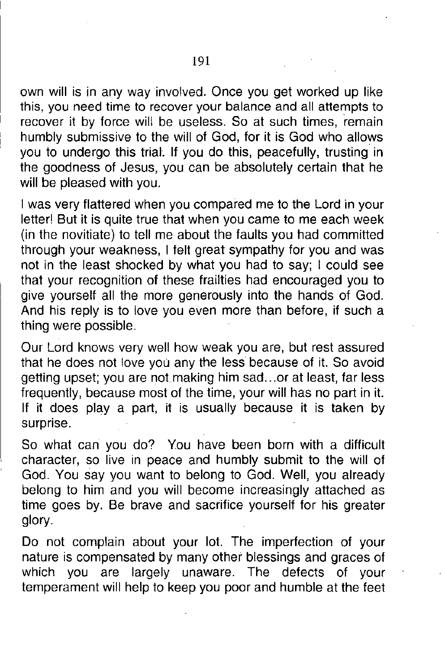own will is in any way involved. Once you get worked up like this, you need time to recover your balance and all attempts to recover it by force will be useless. So at such times, remain humbly submissive to the will of God, for it is God who allows you to undergo this trial. If you do this, peacefully, trusting in the goodness of Jesus, you can be absolutely certain that he will be pleased with you.

I was very flattered when you compared me to the Lord in your letter! But it is quite true that when you came to me each week (in the novitiate) to tell me about the faults you had committed through your weakness, I felt great sympathy for you and was not in the least shocked by what you had to say; I could see that your recognition of these frailties had encouraged you to give yourself all the more generously into the hands of God. And his reply is to love you even more than before, if such a thing were possible.

Our Lord knows very well how weak you are, but rest assured that he does not love you any the less because of it. So avoid getting upset; you are not making him sad...or at least, far less frequently, because most of the time, your will has no part in it. If it does play a part, it is usually because it is taken by surprise.

So what can you do? You have been born with a difficult character, so live in peace and humbly submit to the will of God. You say you want to belong to God. Well, you already belong to him and you will become increasingly attached as time goes by. Be brave and sacrifice yourself for his greater glory.

Do not complain about your lot. The imperfection of your nature is compensated by many other blessings and graces of which you are largely unaware. The defects of your temperament will help to keep you poor and humble at the feet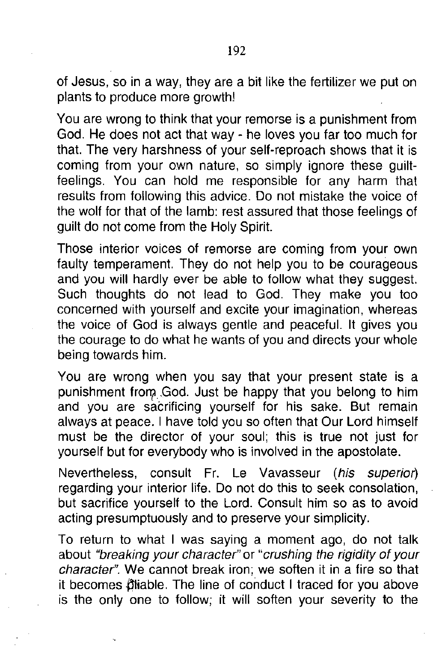of Jesus, so in a way, they are a bit like the fertilizer we put on plants to produce more growth!

You are wrong to think that your remorse is a punishment from God. He does not act that way - he loves you far too much for that. The very harshness of your self-reproach shows that it is coming from your own nature, so simply ignore these guiltfeelings. You can hold me responsible for any harm that results from following this advice. Do not mistake the voice of the wolf for that of the lamb: rest assured that those feelings of guilt do not come from the Holy Spirit.

Those interior voices of remorse are coming from your own faulty temperament. They do not help you to be courageous and you will hardly ever be able to follow what they suggest. Such thoughts do not lead to God. They make you too concerned with yourself and excite your imagination, whereas the voice of God is always gentle and peaceful. **It** gives you the courage to do what he wants of you and directs your whole being towards him.

You are wrong when you say that your present state is a punishment from God. Just be happy that you belong to him and you are sacrificing yourself for his sake. But remain always at peace. I have told you so often that Our Lord himself must be the director of your soul; this is true not just for yourself but for everybody who is involved in the apostolate.

Nevertheless, consult Fr. Le Vavasseur *(his superior)* regarding your interior life. Do not do this to seek consolation, but sacrifice yourself to the Lord. Consult him so as to avoid acting presumptuously and to preserve your simplicity.

To return to what I was saying a moment ago, do not talk about *"breaking your character"* or *"crushing the rigidity of your character".* We cannot break iron; we soften it in a fire so that it becomes pliable. The line of conduct I traced for you above is the only one to follow; it will soften your severity to the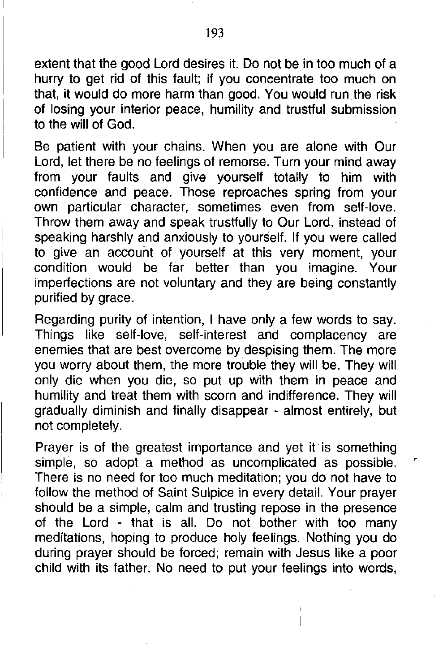extent that the good Lord desires it. Do not be in too much of a hurry to get rid of this fault; if you concentrate too much on that, it would do more harm than good. You would runthe risk of losing your interior peace, humility and trustful submission to the will of God.

Be patient with your chains. When you are alone with Our Lord, let there be no feelings of remorse. Turn your mind away from your faults and give yourself totally to him with confidence and peace. Those reproaches spring from your own particular character, sometimes even from self-love. Throw them away and speak trustfully to Our Lord, instead of speaking harshly and anxiously to yourself. If you were called to give an account of yourself at this very moment, your condition would be far better than you imagine. Your imperfections are not voluntary and they are being constantly purified by grace.

Regarding purity of intention, I have only a few words to say. Things like self-love, self-interest and complacency are enemies that are best overcome by despising them. The more you worry about them, the more trouble they will be. They will only die when you die, so put up with them in peace and humility and treat them with scorn and indifference. They will gradually diminish and finally disappear - almost entirely, but not completely.

Prayer is of the greatest importance and yet it is something simple, so adopt a method as uncomplicated as possible. There is no need for too much meditation; you do not have to follow the method of Saint Sulpice in every detail. Your prayer should be a simple, calm and trusting repose in the presence of the Lord - that is all. Do not bother with too many meditations, hoping to produce holy feelings. Nothing you do during prayer should be forced; remain with Jesus like a poor child with its father. No need to put your feelings into words,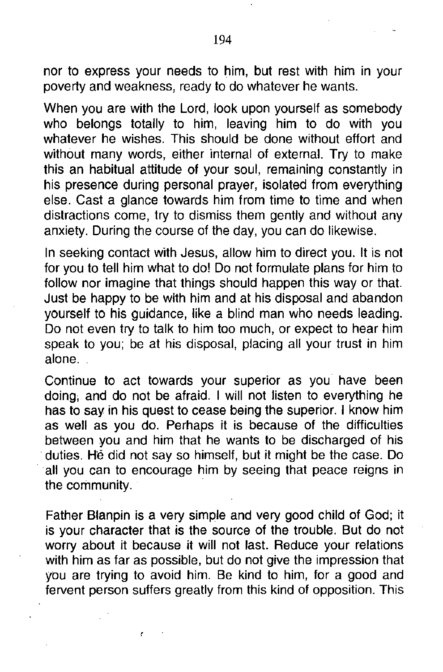nor to express your needs to him, but rest with him in your *poverty* and weakness, ready to do *whatever* he wants.

When you are with the Lord, look upon yourself as somebody who belongs totally to him, leaving him to do with you *whatever* he wishes. This should be done without effort and without many words, either internal of external. Try to make this an habitual attitude of your soul, remaining constantly in his presence during personal prayer, isolated from everything else. Cast a glance towards him from time to time and when distractions come, try to dismiss them gently and without any anxiety. During the course of the day, you can do likewise.

In seeking contact with Jesus, allow him to direct you. **It** is not for you to tell him what to do! Do not formulate plans for him to follow nor imagine that things should happen this way or that. Just be happy to be with him and at his disposal and abandon yourself to his guidance, like a blind man who needs leading. Do not *even* try to talk to him too much, or expect to hear him speak to you; be at his disposal, placing all your trust in him alone.

Continue to act towards your superior as you *have* been doing, and do not be afraid. I will not listen to everything he has to say in his quest to cease being the superior. I know him as well as you do. Perhaps it is because of the difficulties between you and him that he wants to be discharged of his duties. He did not say so himself, but it might be the case. Do . all you can to encourage him by seeing that peace reigns in the community.

Father Blanpin is a *very* simple and *very* good child of God; it is your character that is the source of the trouble. But do not worry about it because it will not last. Reduce your relations with him as far as possible, but do not *give* the impression that you are trying to avoid him. Be kind to him, for a good and fervent person suffers greatly from this kind of opposition. This

ŕ